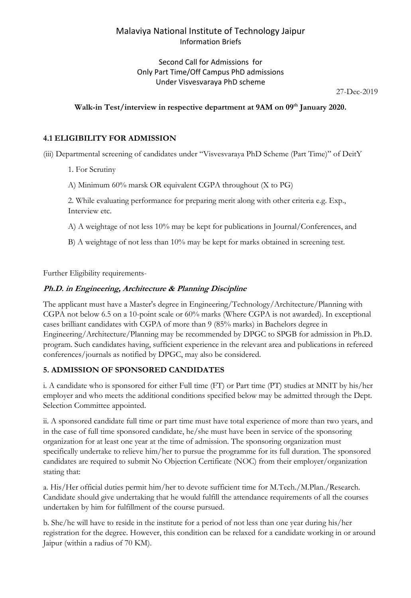# Malaviya National Institute of Technology Jaipur Information Briefs

Second Call for Admissions for Only Part Time/Off Campus PhD admissions Under Visvesvaraya PhD scheme

27-Dec-2019

#### **Walk-in Test/interview in respective department at 9AM on 09th January 2020.**

#### **4.1 ELIGIBILITY FOR ADMISSION**

(iii) Departmental screening of candidates under "Visvesvaraya PhD Scheme (Part Time)" of DeitY

1. For Scrutiny

A) Minimum 60% marsk OR equivalent CGPA throughout (X to PG)

2. While evaluating performance for preparing merit along with other criteria e.g. Exp., Interview etc.

A) A weightage of not less 10% may be kept for publications in Journal/Conferences, and

B) A weightage of not less than 10% may be kept for marks obtained in screening test.

Further Eligibility requirements-

#### **Ph.D. in Engineering, Architecture & Planning Discipline**

The applicant must have a Master's degree in Engineering/Technology/Architecture/Planning with CGPA not below 6.5 on a 10-point scale or 60% marks (Where CGPA is not awarded). In exceptional cases brilliant candidates with CGPA of more than 9 (85% marks) in Bachelors degree in Engineering/Architecture/Planning may be recommended by DPGC to SPGB for admission in Ph.D. program. Such candidates having, sufficient experience in the relevant area and publications in refereed conferences/journals as notified by DPGC, may also be considered.

## **5. ADMISSION OF SPONSORED CANDIDATES**

i. A candidate who is sponsored for either Full time (FT) or Part time (PT) studies at MNIT by his/her employer and who meets the additional conditions specified below may be admitted through the Dept. Selection Committee appointed.

ii. A sponsored candidate full time or part time must have total experience of more than two years, and in the case of full time sponsored candidate, he/she must have been in service of the sponsoring organization for at least one year at the time of admission. The sponsoring organization must specifically undertake to relieve him/her to pursue the programme for its full duration. The sponsored candidates are required to submit No Objection Certificate (NOC) from their employer/organization stating that:

a. His/Her official duties permit him/her to devote sufficient time for M.Tech./M.Plan./Research. Candidate should give undertaking that he would fulfill the attendance requirements of all the courses undertaken by him for fulfillment of the course pursued.

b. She/he will have to reside in the institute for a period of not less than one year during his/her registration for the degree. However, this condition can be relaxed for a candidate working in or around Jaipur (within a radius of 70 KM).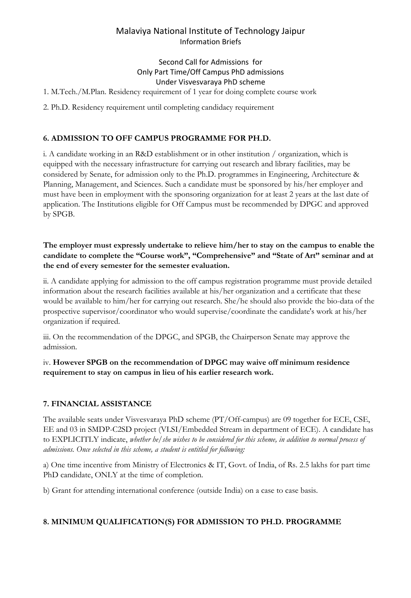# Malaviya National Institute of Technology Jaipur Information Briefs

## Second Call for Admissions for Only Part Time/Off Campus PhD admissions Under Visvesvaraya PhD scheme

1. M.Tech./M.Plan. Residency requirement of 1 year for doing complete course work

2. Ph.D. Residency requirement until completing candidacy requirement

## **6. ADMISSION TO OFF CAMPUS PROGRAMME FOR PH.D.**

i. A candidate working in an R&D establishment or in other institution / organization, which is equipped with the necessary infrastructure for carrying out research and library facilities, may be considered by Senate, for admission only to the Ph.D. programmes in Engineering, Architecture & Planning, Management, and Sciences. Such a candidate must be sponsored by his/her employer and must have been in employment with the sponsoring organization for at least 2 years at the last date of application. The Institutions eligible for Off Campus must be recommended by DPGC and approved by SPGB.

**The employer must expressly undertake to relieve him/her to stay on the campus to enable the candidate to complete the "Course work", "Comprehensive" and "State of Art" seminar and at the end of every semester for the semester evaluation.** 

ii. A candidate applying for admission to the off campus registration programme must provide detailed information about the research facilities available at his/her organization and a certificate that these would be available to him/her for carrying out research. She/he should also provide the bio-data of the prospective supervisor/coordinator who would supervise/coordinate the candidate's work at his/her organization if required.

iii. On the recommendation of the DPGC, and SPGB, the Chairperson Senate may approve the admission.

iv. **However SPGB on the recommendation of DPGC may waive off minimum residence requirement to stay on campus in lieu of his earlier research work.** 

## **7. FINANCIAL ASSISTANCE**

The available seats under Visvesvaraya PhD scheme (PT/Off-campus) are 09 together for ECE, CSE, EE and 03 in SMDP-C2SD project (VLSI/Embedded Stream in department of ECE). A candidate has to EXPLICITLY indicate, *whether he/she wishes to be considered for this scheme, in addition to normal process of admissions. Once selected in this scheme, a student is entitled for following:* 

a) One time incentive from Ministry of Electronics & IT, Govt. of India, of Rs. 2.5 lakhs for part time PhD candidate, ONLY at the time of completion.

b) Grant for attending international conference (outside India) on a case to case basis.

## **8. MINIMUM QUALIFICATION(S) FOR ADMISSION TO PH.D. PROGRAMME**